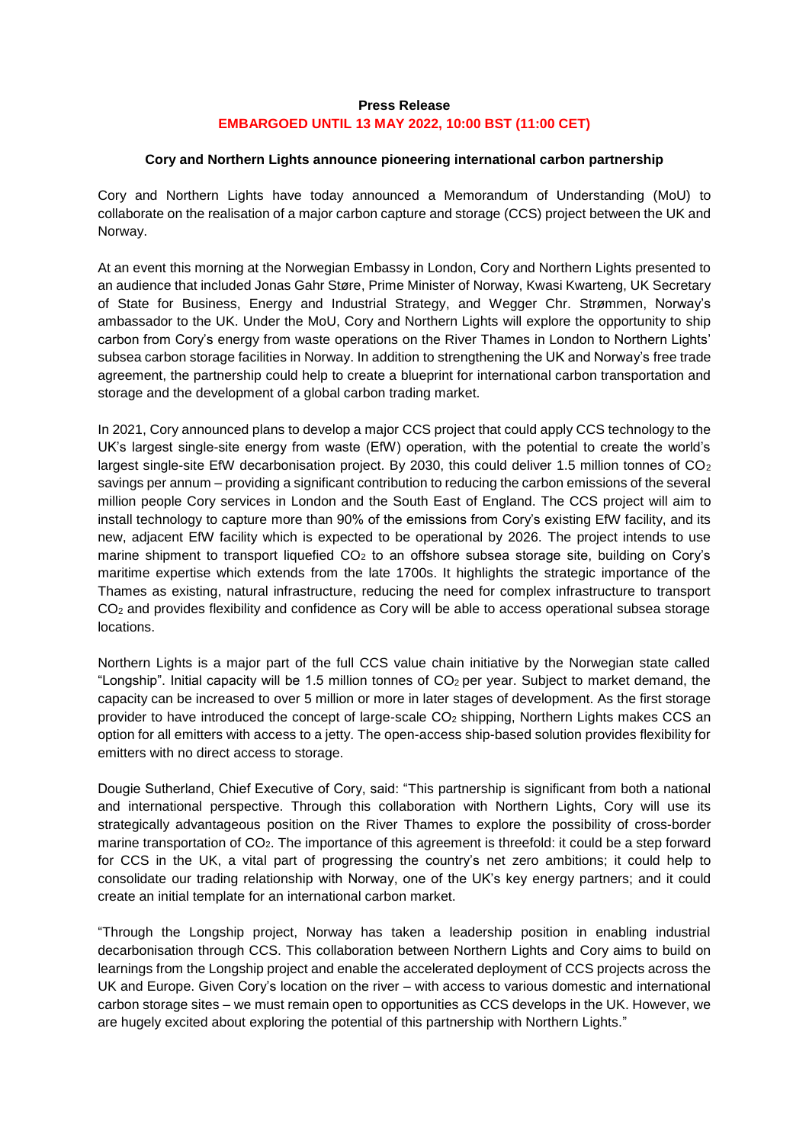## **Press Release EMBARGOED UNTIL 13 MAY 2022, 10:00 BST (11:00 CET)**

## **Cory and Northern Lights announce pioneering international carbon partnership**

Cory and Northern Lights have today announced a Memorandum of Understanding (MoU) to collaborate on the realisation of a major carbon capture and storage (CCS) project between the UK and Norway.

At an event this morning at the Norwegian Embassy in London, Cory and Northern Lights presented to an audience that included Jonas Gahr Støre, Prime Minister of Norway, Kwasi Kwarteng, UK Secretary of State for Business, Energy and Industrial Strategy, and Wegger Chr. Strømmen, Norway's ambassador to the UK. Under the MoU, Cory and Northern Lights will explore the opportunity to ship carbon from Cory's energy from waste operations on the River Thames in London to Northern Lights' subsea carbon storage facilities in Norway. In addition to strengthening the UK and Norway's free trade agreement, the partnership could help to create a blueprint for international carbon transportation and storage and the development of a global carbon trading market.

In 2021, Cory announced plans to develop a major CCS project that could apply CCS technology to the UK's largest single-site energy from waste (EfW) operation, with the potential to create the world's largest single-site EfW decarbonisation project. By 2030, this could deliver 1.5 million tonnes of  $CO<sub>2</sub>$ savings per annum – providing a significant contribution to reducing the carbon emissions of the several million people Cory services in London and the South East of England. The CCS project will aim to install technology to capture more than 90% of the emissions from Cory's existing EfW facility, and its new, adjacent EfW facility which is expected to be operational by 2026. The project intends to use marine shipment to transport liquefied CO<sub>2</sub> to an offshore subsea storage site, building on Cory's maritime expertise which extends from the late 1700s. It highlights the strategic importance of the Thames as existing, natural infrastructure, reducing the need for complex infrastructure to transport CO<sup>2</sup> and provides flexibility and confidence as Cory will be able to access operational subsea storage locations.

Northern Lights is a major part of the full CCS value chain initiative by the Norwegian state called "Longship". Initial capacity will be 1.5 million tonnes of  $CO<sub>2</sub>$  per year. Subject to market demand, the capacity can be increased to over 5 million or more in later stages of development. As the first storage provider to have introduced the concept of large-scale CO<sup>2</sup> shipping, Northern Lights makes CCS an option for all emitters with access to a jetty. The open-access ship-based solution provides flexibility for emitters with no direct access to storage.

Dougie Sutherland, Chief Executive of Cory, said: "This partnership is significant from both a national and international perspective. Through this collaboration with Northern Lights, Cory will use its strategically advantageous position on the River Thames to explore the possibility of cross-border marine transportation of CO2. The importance of this agreement is threefold: it could be a step forward for CCS in the UK, a vital part of progressing the country's net zero ambitions; it could help to consolidate our trading relationship with Norway, one of the UK's key energy partners; and it could create an initial template for an international carbon market.

"Through the Longship project, Norway has taken a leadership position in enabling industrial decarbonisation through CCS. This collaboration between Northern Lights and Cory aims to build on learnings from the Longship project and enable the accelerated deployment of CCS projects across the UK and Europe. Given Cory's location on the river – with access to various domestic and international carbon storage sites – we must remain open to opportunities as CCS develops in the UK. However, we are hugely excited about exploring the potential of this partnership with Northern Lights."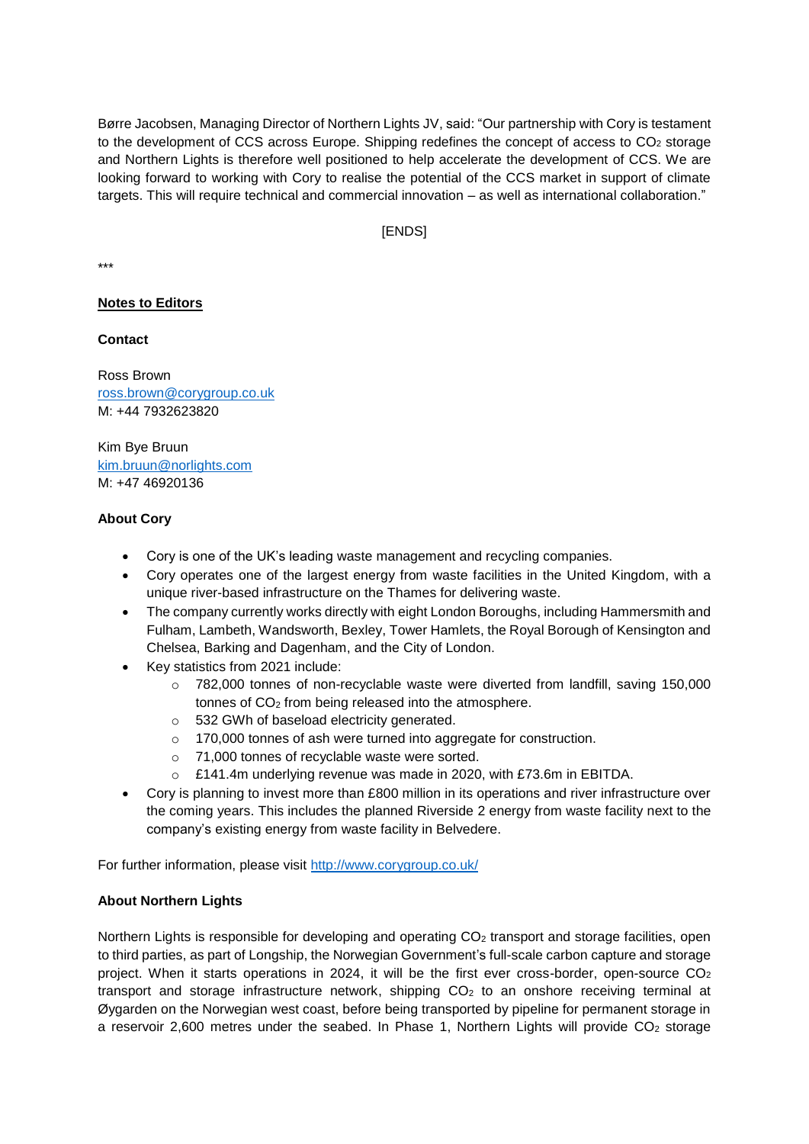Børre Jacobsen, Managing Director of Northern Lights JV, said: "Our partnership with Cory is testament to the development of CCS across Europe. Shipping redefines the concept of access to CO<sub>2</sub> storage and Northern Lights is therefore well positioned to help accelerate the development of CCS. We are looking forward to working with Cory to realise the potential of the CCS market in support of climate targets. This will require technical and commercial innovation – as well as international collaboration."

# [ENDS]

\*\*\*

## **Notes to Editors**

#### **Contact**

Ross Brown [ross.brown@corygroup.co.uk](mailto:ross.brown@corygroup.co.uk) M: +44 7932623820

Kim Bye Bruun [kim.bruun@norlights.com](mailto:kim.bruun@norlights.com)  M: +47 46920136

#### **About Cory**

- Cory is one of the UK's leading waste management and recycling companies.
- Cory operates one of the largest energy from waste facilities in the United Kingdom, with a unique river-based infrastructure on the Thames for delivering waste.
- The company currently works directly with eight London Boroughs, including Hammersmith and Fulham, Lambeth, Wandsworth, Bexley, Tower Hamlets, the Royal Borough of Kensington and Chelsea, Barking and Dagenham, and the City of London.
- Key statistics from 2021 include:
	- $\circ$  782,000 tonnes of non-recyclable waste were diverted from landfill, saving 150,000 tonnes of CO<sub>2</sub> from being released into the atmosphere.
	- o 532 GWh of baseload electricity generated.
	- o 170,000 tonnes of ash were turned into aggregate for construction.
	- o 71,000 tonnes of recyclable waste were sorted.
	- o £141.4m underlying revenue was made in 2020, with £73.6m in EBITDA.
- Cory is planning to invest more than £800 million in its operations and river infrastructure over the coming years. This includes the planned Riverside 2 energy from waste facility next to the company's existing energy from waste facility in Belvedere.

For further information, please visit<http://www.corygroup.co.uk/>

## **About Northern Lights**

Northern Lights is responsible for developing and operating CO<sub>2</sub> transport and storage facilities, open to third parties, as part of Longship, the Norwegian Government's full-scale carbon capture and storage project. When it starts operations in 2024, it will be the first ever cross-border, open-source CO<sub>2</sub> transport and storage infrastructure network, shipping CO<sup>2</sup> to an onshore receiving terminal at Øygarden on the Norwegian west coast, before being transported by pipeline for permanent storage in a reservoir 2,600 metres under the seabed. In Phase 1, Northern Lights will provide  $CO<sub>2</sub>$  storage